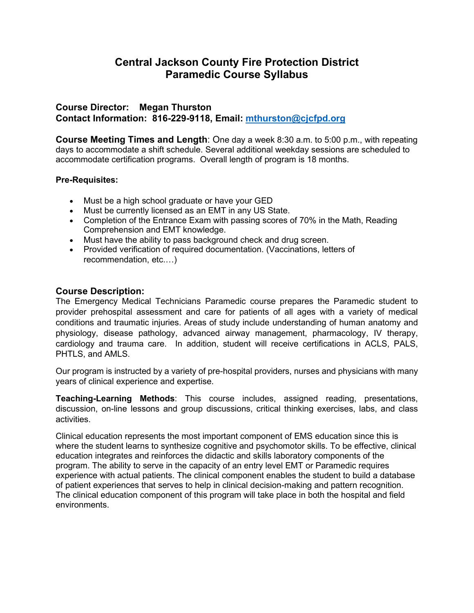# **Central Jackson County Fire Protection District Paramedic Course Syllabus**

# **Course Director: Megan Thurston Contact Information: 816-229-9118, Email: [mthurston@cjcfpd.org](mailto:mthurston@cjcfpd.org)**

**Course Meeting Times and Length**: One day a week 8:30 a.m. to 5:00 p.m., with repeating days to accommodate a shift schedule. Several additional weekday sessions are scheduled to accommodate certification programs. Overall length of program is 18 months.

### **Pre-Requisites:**

- Must be a high school graduate or have your GED
- Must be currently licensed as an EMT in any US State.
- Completion of the Entrance Exam with passing scores of 70% in the Math, Reading Comprehension and EMT knowledge.
- Must have the ability to pass background check and drug screen.
- Provided verification of required documentation. (Vaccinations, letters of recommendation, etc.…)

# **Course Description:**

The Emergency Medical Technicians Paramedic course prepares the Paramedic student to provider prehospital assessment and care for patients of all ages with a variety of medical conditions and traumatic injuries. Areas of study include understanding of human anatomy and physiology, disease pathology, advanced airway management, pharmacology, IV therapy, cardiology and trauma care. In addition, student will receive certifications in ACLS, PALS, PHTLS, and AMLS.

Our program is instructed by a variety of pre-hospital providers, nurses and physicians with many years of clinical experience and expertise.

**Teaching-Learning Methods**: This course includes, assigned reading, presentations, discussion, on-line lessons and group discussions, critical thinking exercises, labs, and class activities.

Clinical education represents the most important component of EMS education since this is where the student learns to synthesize cognitive and psychomotor skills. To be effective, clinical education integrates and reinforces the didactic and skills laboratory components of the program. The ability to serve in the capacity of an entry level EMT or Paramedic requires experience with actual patients. The clinical component enables the student to build a database of patient experiences that serves to help in clinical decision-making and pattern recognition. The clinical education component of this program will take place in both the hospital and field environments.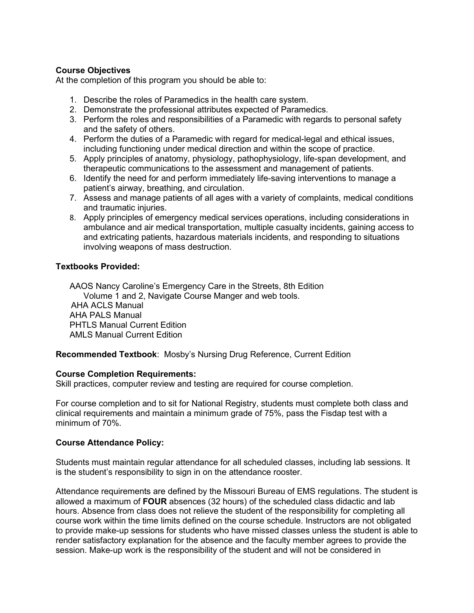### **Course Objectives**

At the completion of this program you should be able to:

- 1. Describe the roles of Paramedics in the health care system.
- 2. Demonstrate the professional attributes expected of Paramedics.
- 3. Perform the roles and responsibilities of a Paramedic with regards to personal safety and the safety of others.
- 4. Perform the duties of a Paramedic with regard for medical-legal and ethical issues, including functioning under medical direction and within the scope of practice.
- 5. Apply principles of anatomy, physiology, pathophysiology, life-span development, and therapeutic communications to the assessment and management of patients.
- 6. Identify the need for and perform immediately life-saving interventions to manage a patient's airway, breathing, and circulation.
- 7. Assess and manage patients of all ages with a variety of complaints, medical conditions and traumatic injuries.
- 8. Apply principles of emergency medical services operations, including considerations in ambulance and air medical transportation, multiple casualty incidents, gaining access to and extricating patients, hazardous materials incidents, and responding to situations involving weapons of mass destruction.

### **Textbooks Provided:**

AAOS Nancy Caroline's Emergency Care in the Streets, 8th Edition Volume 1 and 2, Navigate Course Manger and web tools. AHA ACLS Manual AHA PALS Manual PHTLS Manual Current Edition AMLS Manual Current Edition

#### **Recommended Textbook**: Mosby's Nursing Drug Reference, Current Edition

#### **Course Completion Requirements:**

Skill practices, computer review and testing are required for course completion.

For course completion and to sit for National Registry, students must complete both class and clinical requirements and maintain a minimum grade of 75%, pass the Fisdap test with a minimum of 70%.

#### **Course Attendance Policy:**

Students must maintain regular attendance for all scheduled classes, including lab sessions. It is the student's responsibility to sign in on the attendance rooster.

Attendance requirements are defined by the Missouri Bureau of EMS regulations. The student is allowed a maximum of **FOUR** absences (32 hours) of the scheduled class didactic and lab hours. Absence from class does not relieve the student of the responsibility for completing all course work within the time limits defined on the course schedule. Instructors are not obligated to provide make-up sessions for students who have missed classes unless the student is able to render satisfactory explanation for the absence and the faculty member agrees to provide the session. Make-up work is the responsibility of the student and will not be considered in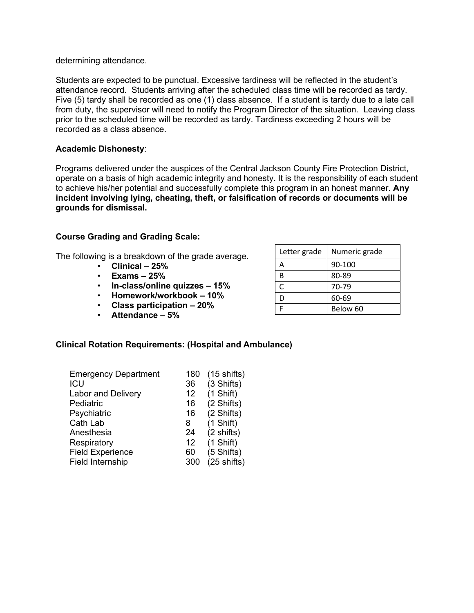determining attendance.

Students are expected to be punctual. Excessive tardiness will be reflected in the student's attendance record. Students arriving after the scheduled class time will be recorded as tardy. Five (5) tardy shall be recorded as one (1) class absence. If a student is tardy due to a late call from duty, the supervisor will need to notify the Program Director of the situation. Leaving class prior to the scheduled time will be recorded as tardy. Tardiness exceeding 2 hours will be recorded as a class absence.

#### **Academic Dishonesty**:

Programs delivered under the auspices of the Central Jackson County Fire Protection District, operate on a basis of high academic integrity and honesty. It is the responsibility of each student to achieve his/her potential and successfully complete this program in an honest manner. **Any incident involving lying, cheating, theft, or falsification of records or documents will be grounds for dismissal.** 

#### **Course Grading and Grading Scale:**

The following is a breakdown of the grade average.

- **Clinical – 25%**
- **Exams – 25%**
- **In-class/online quizzes – 15%**
- **Homework/workbook – 10%**
- **Class participation – 20%**
- **Attendance – 5%**

| Clinical Rotation Requirements: (Hospital and Ambulance) |  |
|----------------------------------------------------------|--|
|----------------------------------------------------------|--|

| <b>Emergency Department</b> | 180 | $(15 \text{ shifts})$ |
|-----------------------------|-----|-----------------------|
| ICU                         | 36  | (3 Shifts)            |
| <b>Labor and Delivery</b>   | 12  | (1 Shift)             |
| Pediatric                   | 16  | (2 Shifts)            |
| Psychiatric                 | 16  | (2 Shifts)            |
| Cath Lab                    | 8   | (1 Shift)             |
| Anesthesia                  | 24  | (2 shifts)            |
| Respiratory                 | 12  | (1 Shift)             |
| <b>Field Experience</b>     | 60  | (5 Shifts)            |
| Field Internship            | 300 | $(25 \text{ shifts})$ |

| Letter grade | Numeric grade |
|--------------|---------------|
| А            | 90-100        |
| В            | 80-89         |
| C            | 70-79         |
|              | 60-69         |
|              | Below 60      |